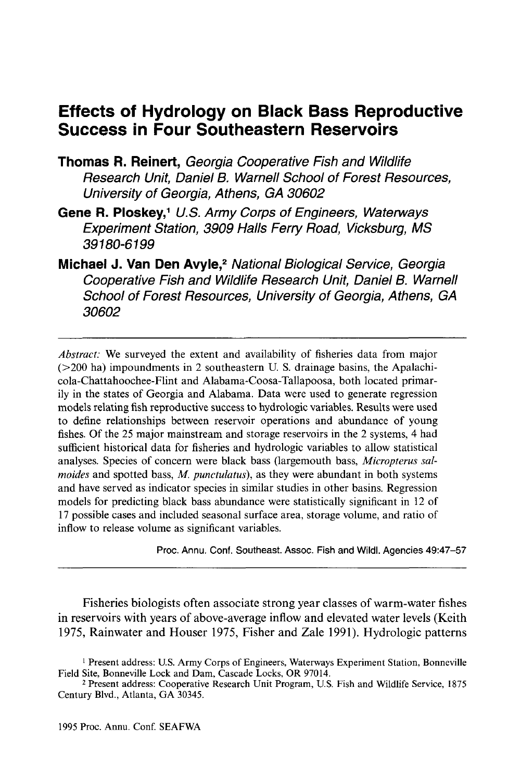# **Effects of Hydrology on Black Bass Reproductive Success in Four Southeastern Reservoirs**

- **Thomas R. Reinert,** Georgia Cooperative Fish and Wildlife Research Unit, Daniel B. Warnell School of Forest Resources, University of Georgia, Athens, GA 30602
- Gene R. Ploskey,<sup>1</sup> U.S. Army Corps of Engineers, Waterways Experiment Station, 3909 Halls Ferry Road, Vicksburg, MS 39180-6199
- Michael J. Van Den Avyle,<sup>2</sup> National Biological Service, Georgia Cooperative Fish and Wildlife Research Unit, Daniel B. Warnell School of Forest Resources, University of Georgia, Athens, GA 30602

*Abstract:* We surveyed the extent and availability of fisheries data from major  $(>=200$  ha) impoundments in 2 southeastern U. S. drainage basins, the Apalachicola-Chattahoochee-Flint and Alabama-Coosa-Tallapoosa, both located primarily in the states of Georgia and Alabama. Data were used to generate regression models relating fish reproductive success to hydrologic variables. Results were used to define relationships between reservoir operations and abundance of young fishes. Of the 25 major mainstream and storage reservoirs in the 2 systems, 4 had sufficient historical data for fisheries and hydrologic variables to allow statistical analyses. Species of concern were black bass (largemouth bass, *Micropterus salmoides* and spotted bass, *M. punctulatus),* as they were abundant in both systems and have served as indicator species in similar studies in other basins. Regression models for predicting black bass abundance were statistically significant in 12 of 17 possible cases and included seasonal surface area, storage volume, and ratio of inflow to release volume as significant variables.

Proc. Annu. Conf. Southeast. Assoc. Fish and Wildl. Agencies 49:47-57

Fisheries biologists often associate strong year classes of warm-water fishes in reservoirs with years of above-average inflow and elevated water levels (Keith 1975, Rainwater and Houser 1975, Fisher and Zale 1991). Hydrologic patterns

<sup>&</sup>lt;sup>1</sup> Present address: U.S. Army Corps of Engineers, Waterways Experiment Station, Bonneville Field Site, Bonneville Lock and Dam, Cascade Locks, OR 97014.

<sup>2</sup> Present address: Cooperative Research Unit Program, U.S. Fish and Wildlife Service, 1875 Century Blvd., Atlanta, GA 30345.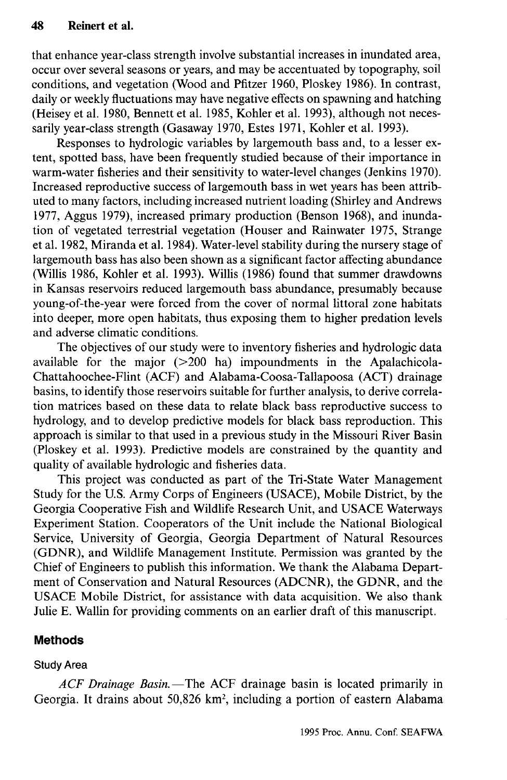that enhance year-class strength involve substantial increases in inundated area, occur over several seasons or years, and may be accentuated by topography, soil conditions, and vegetation (Wood and Pfitzer 1960, Ploskey 1986). In contrast, daily or weekly fluctuations may have negative effects on spawning and hatching (Heisey et al. 1980, Bennett et al. 1985, Kohler et al. 1993), although not necessarily year-class strength (Gasaway 1970, Estes 1971, Kohler et al. 1993).

Responses to hydrologic variables by largemouth bass and, to a lesser extent, spotted bass, have been frequently studied because of their importance in warm-water fisheries and their sensitivity to water-level changes (Jenkins 1970). Increased reproductive success of largemouth bass in wet years has been attributed to many factors, including increased nutrient loading (Shirley and Andrews 1977, Aggus 1979), increased primary production (Benson 1968), and inundation of vegetated terrestrial vegetation (Houser and Rainwater 1975, Strange et al. 1982, Miranda et al. 1984). Water-level stability during the nursery stage of largemouth bass has also been shown as a significant factor affecting abundance (Willis 1986, Kohler et al. 1993). Willis (1986) found that summer drawdowns in Kansas reservoirs reduced largemouth bass abundance, presumably because young-of-the-year were forced from the cover of normal littoral zone habitats into deeper, more open habitats, thus exposing them to higher predation levels and adverse climatic conditions.

The objectives of our study were to inventory fisheries and hydrologic data available for the major (>200 ha) impoundments in the Apalachicola-Chattahoochee-Flint (ACF) and Alabama-Coosa-Tallapoosa (ACT) drainage basins, to identify those reservoirs suitable for further analysis, to derive correlation matrices based on these data to relate black bass reproductive success to hydrology, and to develop predictive models for black bass reproduction. This approach is similar to that used in a previous study in the Missouri River Basin (Ploskey et al. 1993). Predictive models are constrained by the quantity and quality of available hydrologic and fisheries data.

This project was conducted as part of the Tri-State Water Management Study for the U.S. Army Corps of Engineers (USACE), Mobile District, by the Georgia Cooperative Fish and Wildlife Research Unit, and USACE Waterways Experiment Station. Cooperators of the Unit include the National Biological Service, University of Georgia, Georgia Department of Natural Resources (GDNR), and Wildlife Management Institute. Permission was granted by the Chief of Engineers to publish this information. We thank the Alabama Department of Conservation and Natural Resources (ADCNR), the GDNR, and the USACE Mobile District, for assistance with data acquisition. We also thank Julie E. Wallin for providing comments on an earlier draft of this manuscript.

### **Methods**

# Study Area

*ACF Drainage Basin.*—The ACF drainage basin is located primarily in Georgia. It drains about 50,826 km<sup>2</sup>, including a portion of eastern Alabama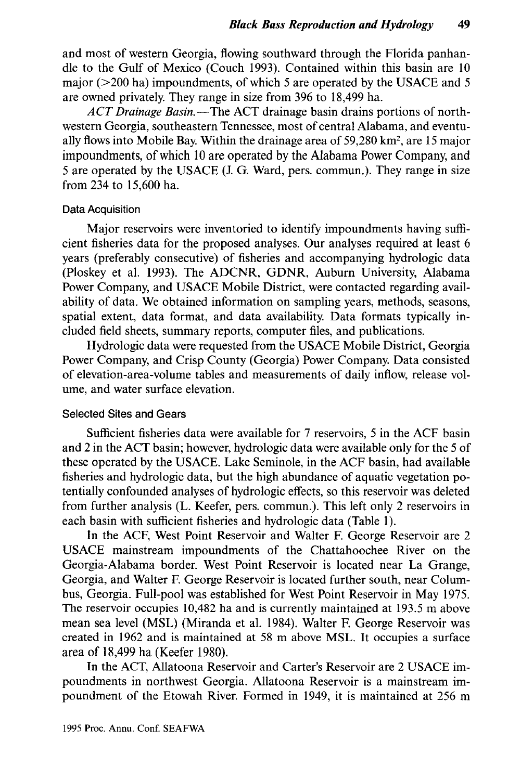and most of western Georgia, flowing southward through the Florida panhandle to the Gulf of Mexico (Couch 1993). Contained within this basin are 10 major ( $>$ 200 ha) impoundments, of which 5 are operated by the USACE and 5 are owned privately. They range in size from 396 to 18,499 ha.

*ACT Drainage Basin.*—The ACT drainage basin drains portions of northwestern Georgia, southeastern Tennessee, most of central Alabama, and eventually flows into Mobile Bay. Within the drainage area of 59,280 km<sup>2</sup> , are 15 major impoundments, of which 10 are operated by the Alabama Power Company, and 5 are operated by the USACE (J. G. Ward, pers. commun.). They range in size from 234 to 15,600 ha.

#### Data Acquisition

Major reservoirs were inventoried to identify impoundments having sufficient fisheries data for the proposed analyses. Our analyses required at least 6 years (preferably consecutive) of fisheries and accompanying hydrologic data (Ploskey et al. 1993). The ADCNR, GDNR, Auburn University, Alabama Power Company, and USACE Mobile District, were contacted regarding availability of data. We obtained information on sampling years, methods, seasons, spatial extent, data format, and data availability. Data formats typically included field sheets, summary reports, computer files, and publications.

Hydrologic data were requested from the USACE Mobile District, Georgia Power Company, and Crisp County (Georgia) Power Company. Data consisted of elevation-area-volume tables and measurements of daily inflow, release volume, and water surface elevation.

#### Selected Sites and Gears

Sufficient fisheries data were available for 7 reservoirs, 5 in the ACF basin and 2 in the ACT basin; however, hydrologic data were available only for the 5 of these operated by the USACE. Lake Seminole, in the ACF basin, had available fisheries and hydrologic data, but the high abundance of aquatic vegetation potentially confounded analyses of hydrologic effects, so this reservoir was deleted from further analysis (L. Keefer, pers. commun.). This left only 2 reservoirs in each basin with sufficient fisheries and hydrologic data (Table 1).

In the ACF, West Point Reservoir and Walter F. George Reservoir are 2 USACE mainstream impoundments of the Chattahoochee River on the Georgia-Alabama border. West Point Reservoir is located near La Grange, Georgia, and Walter F. George Reservoir is located further south, near Columbus, Georgia. Full-pool was established for West Point Reservoir in May 1975. The reservoir occupies 10,482 ha and is currently maintained at 193.5 m above mean sea level (MSL) (Miranda et al. 1984). Walter F. George Reservoir was created in 1962 and is maintained at 58 m above MSL. It occupies a surface area of 18,499 ha (Keefer 1980).

In the ACT, Allatoona Reservoir and Carter's Reservoir are 2 USACE impoundments in northwest Georgia. Allatoona Reservoir is a mainstream impoundment of the Etowah River. Formed in 1949, it is maintained at 256 m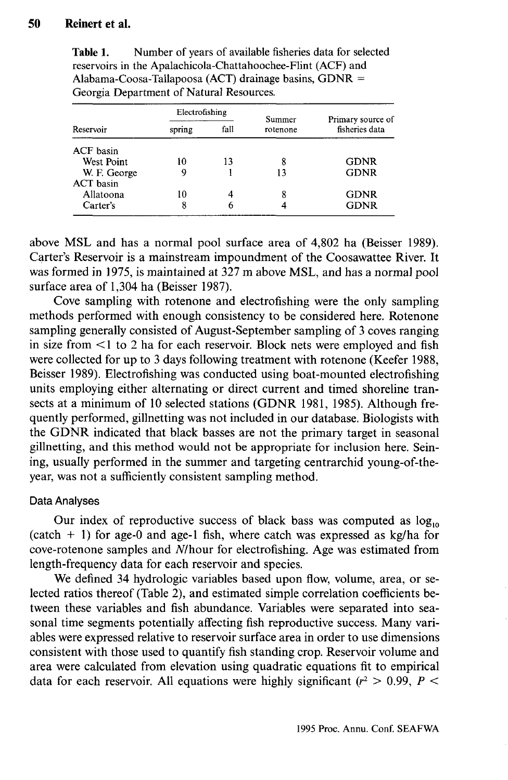## **50 Reinert et al.**

| Reservoir         | Electrofishing |      | Summer   | Primary source of |
|-------------------|----------------|------|----------|-------------------|
|                   | spring         | fall | rotenone | fisheries data    |
| ACF basin         |                |      |          |                   |
| <b>West Point</b> | ١Ω             | 13   | 8        | <b>GDNR</b>       |
| W. F. George      |                |      | 13       | <b>GDNR</b>       |
| <b>ACT</b> basin  |                |      |          |                   |
| Allatoona         | 10             | 4    | 8        | <b>GDNR</b>       |
| Carter's          | 8              | 6    |          | <b>GDNR</b>       |

Table 1. Number of years of available fisheries data for selected reservoirs in the Apalachicola-Chattahoochee-Flint (ACF) and Alabama-Coosa-Tallapoosa (ACT) drainage basins,  $GDNR =$ Georgia Department of Natural Resources.

above MSL and has a normal pool surface area of 4,802 ha (Beisser 1989). Carter's Reservoir is a mainstream impoundment of the Coosawattee River. It was formed in 1975, is maintained at 327 m above MSL, and has a normal pool surface area of 1,304 ha (Beisser 1987).

Cove sampling with rotenone and electrofishing were the only sampling methods performed with enough consistency to be considered here. Rotenone sampling generally consisted of August-September sampling of 3 coves ranging in size from  $\leq 1$  to 2 ha for each reservoir. Block nets were employed and fish were collected for up to 3 days following treatment with rotenone (Keefer 1988, Beisser 1989). Electrofishing was conducted using boat-mounted electrofishing units employing either alternating or direct current and timed shoreline transects at a minimum of 10 selected stations (GDNR 1981, 1985). Although frequently performed, gillnetting was not included in our database. Biologists with the GDNR indicated that black basses are not the primary target in seasonal gillnetting, and this method would not be appropriate for inclusion here. Seining, usually performed in the summer and targeting centrarchid young-of-theyear, was not a sufficiently consistent sampling method.

#### Data Analyses

Our index of reproductive success of black bass was computed as  $log_{10}$ (catch  $+$  1) for age-0 and age-1 fish, where catch was expressed as kg/ha for cove-rotenone samples and Mhour for electrofishing. Age was estimated from length-frequency data for each reservoir and species.

We defined 34 hydrologic variables based upon flow, volume, area, or selected ratios thereof (Table 2), and estimated simple correlation coefficients between these variables and fish abundance. Variables were separated into seasonal time segments potentially affecting fish reproductive success. Many variables were expressed relative to reservoir surface area in order to use dimensions consistent with those used to quantify fish standing crop. Reservoir volume and area were calculated from elevation using quadratic equations fit to empirical data for each reservoir. All equations were highly significant  $(r^2 > 0.99, P <$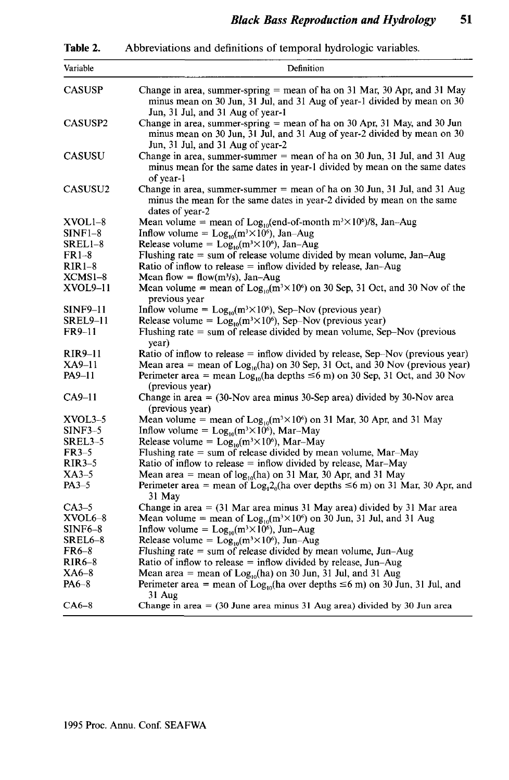**Table 2.** Abbreviations and definitions of temporal hydrologic variables.

| Variable            | Definition                                                                                                                                                                                  |
|---------------------|---------------------------------------------------------------------------------------------------------------------------------------------------------------------------------------------|
| <b>CASUSP</b>       | Change in area, summer-spring $=$ mean of ha on 31 Mar, 30 Apr, and 31 May<br>minus mean on 30 Jun, 31 Jul, and 31 Aug of year-1 divided by mean on 30<br>Jun, 31 Jul, and 31 Aug of year-1 |
| CASUSP <sub>2</sub> | Change in area, summer-spring = mean of ha on 30 Apr, 31 May, and 30 Jun<br>minus mean on 30 Jun, 31 Jul, and 31 Aug of year-2 divided by mean on 30<br>Jun, 31 Jul, and 31 Aug of year-2   |
| <b>CASUSU</b>       | Change in area, summer-summer $=$ mean of ha on 30 Jun, 31 Jul, and 31 Aug<br>minus mean for the same dates in year-1 divided by mean on the same dates<br>of year-1                        |
| <b>CASUSU2</b>      | Change in area, summer-summer $=$ mean of ha on 30 Jun, 31 Jul, and 31 Aug<br>minus the mean for the same dates in year-2 divided by mean on the same<br>dates of year-2                    |
| XVOL1–8             | Mean volume = mean of $Log_{10}$ (end-of-month m <sup>3</sup> $\times$ 10 <sup>6</sup> )/8, Jan-Aug                                                                                         |
| $SINF1-8$           | Inflow volume = $Log_{10}(m^3 \times 10^6)$ , Jan-Aug                                                                                                                                       |
| SREL1-8             | Release volume = $Log_{10}(m^3 \times 10^6)$ , Jan-Aug                                                                                                                                      |
| $FR1-8$             | Flushing rate $=$ sum of release volume divided by mean volume, Jan-Aug                                                                                                                     |
| $RIR1-8$            | Ratio of inflow to release $=$ inflow divided by release, Jan-Aug                                                                                                                           |
| XCMS1-8             | Mean flow = flow(m <sup>3</sup> /s), Jan-Aug                                                                                                                                                |
| XVOL9–11            | Mean volume = mean of $Log_{10}(m^3 \times 10^6)$ on 30 Sep, 31 Oct, and 30 Nov of the                                                                                                      |
|                     | previous year                                                                                                                                                                               |
| <b>SINF9–11</b>     | Inflow volume = $Log_{10}(m^3 \times 10^6)$ , Sep-Nov (previous year)                                                                                                                       |
| SREL9-11            | Release volume = $Log_{10}(m^3 \times 10^6)$ , Sep-Nov (previous year)                                                                                                                      |
| FR9-11              | Flushing rate $=$ sum of release divided by mean volume, Sep-Nov (previous<br>year)                                                                                                         |
| <b>RIR9-11</b>      | Ratio of inflow to release $=$ inflow divided by release, Sep-Nov (previous year)                                                                                                           |
| XA9–11              | Mean area = mean of $Log10(ha)$ on 30 Sep, 31 Oct, and 30 Nov (previous year)                                                                                                               |
| <b>PA9-11</b>       | Perimeter area = mean $Log_{10}$ (ha depths $\leq 6$ m) on 30 Sep, 31 Oct, and 30 Nov<br>(previous year)                                                                                    |
| $CA9-11$            | Change in area $=$ (30-Nov area minus 30-Sep area) divided by 30-Nov area<br>(previous year)                                                                                                |
| $XVOL3-5$           | Mean volume = mean of $Log_{10}(m^3 \times 10^6)$ on 31 Mar, 30 Apr, and 31 May                                                                                                             |
| <b>SINF3-5</b>      | Inflow volume = $Log_{10}(m^3 \times 10^6)$ , Mar-May                                                                                                                                       |
| SREL3-5             | Release volume = $Log_{10}(m^3 \times 10^6)$ , Mar-May                                                                                                                                      |
| $FR3-5$             | Flushing rate $=$ sum of release divided by mean volume, Mar-May                                                                                                                            |
| $RIR3-5$            | Ratio of inflow to release $=$ inflow divided by release, Mar-May                                                                                                                           |
| XA3–5               | Mean area = mean of $log_{10}(ha)$ on 31 Mar, 30 Apr, and 31 May                                                                                                                            |
| $PA3-5$             | Perimeter area = mean of Log <sub>1</sub> 2 <sub>0</sub> (ha over depths $\leq$ 6 m) on 31 Mar, 30 Apr, and<br>31 May                                                                       |
| $CA3-5$             | Change in area $=$ (31 Mar area minus 31 May area) divided by 31 Mar area                                                                                                                   |
| $XVOL6-8$           | Mean volume = mean of $Log_{10}(m^3 \times 10^6)$ on 30 Jun, 31 Jul, and 31 Aug                                                                                                             |
| $SINF6-8$           | Inflow volume = $Log_{10}(m^3 \times 10^6)$ , Jun-Aug                                                                                                                                       |
| SREL6-8             | Release volume = $Log_{10}(m^3 \times 10^6)$ , Jun-Aug                                                                                                                                      |
| FR6-8               | Flushing rate $=$ sum of release divided by mean volume, Jun–Aug                                                                                                                            |
| $RIR6-8$            | Ratio of inflow to release $=$ inflow divided by release, Jun–Aug                                                                                                                           |
| XA6–8               | Mean area = mean of $Log10(ha)$ on 30 Jun, 31 Jul, and 31 Aug                                                                                                                               |
| PA6–8               | Perimeter area = mean of $Log_{10}$ (ha over depths $\leq 6$ m) on 30 Jun, 31 Jul, and<br>31 Aug                                                                                            |
| $CA6-8$             | Change in area $=$ (30 June area minus 31 Aug area) divided by 30 Jun area                                                                                                                  |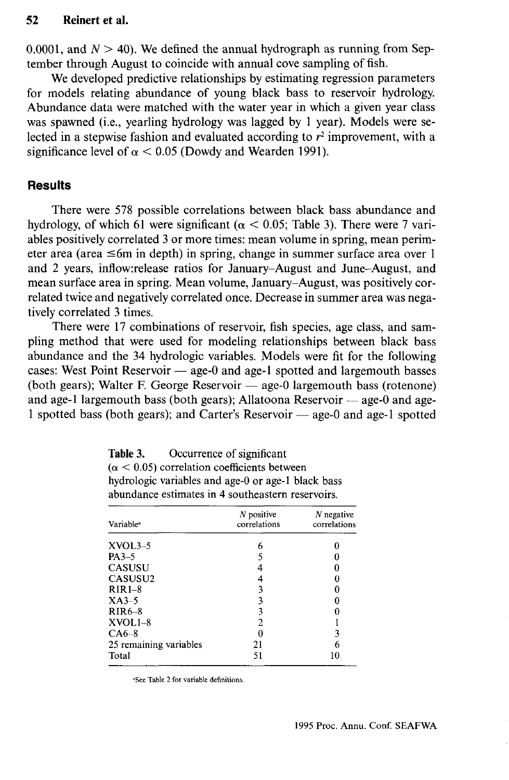#### **52 Reinert et al.**

0.0001, and  $N > 40$ ). We defined the annual hydrograph as running from September through August to coincide with annual cove sampling of fish.

We developed predictive relationships by estimating regression parameters for models relating abundance of young black bass to reservoir hydrology. Abundance data were matched with the water year in which a given year class was spawned (i.e., yearling hydrology was lagged by 1 year). Models were selected in a stepwise fashion and evaluated according to  $r^2$  improvement, with a significance level of  $\alpha$  < 0.05 (Dowdy and Wearden 1991).

## **Results**

There were 578 possible correlations between black bass abundance and hydrology, of which 61 were significant ( $\alpha$  < 0.05; Table 3). There were 7 variables positively correlated 3 or more times: mean volume in spring, mean perimeter area (area  $\leq 6m$  in depth) in spring, change in summer surface area over 1 and 2 years, inflow:release ratios for January-August and June-August, and mean surface area in spring. Mean volume, January-August, was positively correlated twice and negatively correlated once. Decrease in summer area was negatively correlated 3 times.

There were 17 combinations of reservoir, fish species, age class, and sampling method that were used for modeling relationships between black bass abundance and the 34 hydrologic variables. Models were fit for the following cases: West Point Reservoir — age-0 and age-l spotted and largemouth basses (both gears); Walter F. George Reservoir — age-0 largemouth bass (rotenone) and age-l largemouth bass (both gears); Allatoona Reservoir — age-0 and age-1 spotted bass (both gears); and Carter's Reservoir — age-0 and age-l spotted

| Table 3. | Occurrence of significant                             |
|----------|-------------------------------------------------------|
|          | $(\alpha \leq 0.05)$ correlation coefficients between |
|          | hydrologic variables and age-0 or age-1 black bass    |
|          | abundance estimates in 4 southeastern reservoirs.     |

| <b>Variable</b> <sup>a</sup> | $N$ positive<br>correlations | $N$ negative<br>correlations |
|------------------------------|------------------------------|------------------------------|
| $XVOL3-5$                    | 6                            |                              |
| $PA3-5$                      |                              |                              |
| <b>CASUSU</b>                |                              | 0                            |
| CASUSU2                      |                              |                              |
| $RIR1-8$                     |                              |                              |
| $XA3-5$                      |                              |                              |
| $RIR6-8$                     | ٩                            |                              |
| $XVOL1-8$                    |                              |                              |
| $CA6-8$                      |                              | 3                            |
| 25 remaining variables       | 21                           | 6                            |
| Total                        | 51                           | 10                           |

"See Table 2 for variable definitions.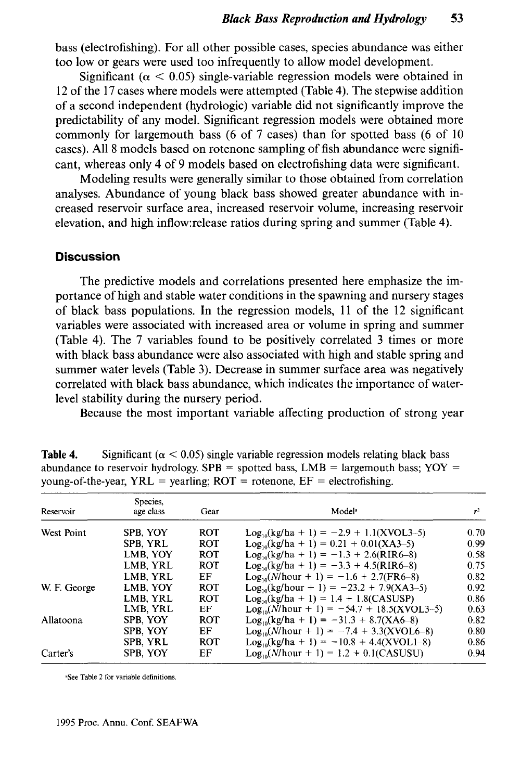bass (electrofishing). For all other possible cases, species abundance was either too low or gears were used too infrequently to allow model development.

Significant ( $\alpha$  < 0.05) single-variable regression models were obtained in 12 of the 17 cases where models were attempted (Table 4). The stepwise addition of a second independent (hydrologic) variable did not significantly improve the predictability of any model. Significant regression models were obtained more commonly for largemouth bass (6 of 7 cases) than for spotted bass (6 of 10 cases). All 8 models based on rotenone sampling of fish abundance were significant, whereas only 4 of 9 models based on electrofishing data were significant.

Modeling results were generally similar to those obtained from correlation analyses. Abundance of young black bass showed greater abundance with increased reservoir surface area, increased reservoir volume, increasing reservoir elevation, and high inflow:release ratios during spring and summer (Table 4).

#### **Discussion**

The predictive models and correlations presented here emphasize the importance of high and stable water conditions in the spawning and nursery stages of black bass populations. In the regression models, 11 of the 12 significant variables were associated with increased area or volume in spring and summer (Table 4). The 7 variables found to be positively correlated 3 times or more with black bass abundance were also associated with high and stable spring and summer water levels (Table 3). Decrease in summer surface area was negatively correlated with black bass abundance, which indicates the importance of waterlevel stability during the nursery period.

Because the most important variable affecting production of strong year

| Reservoir    | Species,<br>age class | Gear       | Model <sup>a</sup>                             | $r^2$ |
|--------------|-----------------------|------------|------------------------------------------------|-------|
| West Point   | SPB, YOY              | <b>ROT</b> | $Log_{10}(kg/ha + 1) = -2.9 + 1.1(XVOL3-5)$    | 0.70  |
|              | SPB. YRL              | <b>ROT</b> | $Log_{10}(kg/ha + 1) = 0.21 + 0.01(XA3-5)$     | 0.99  |
|              | LMB, YOY              | <b>ROT</b> | $Log_{10}(kg/ha + 1) = -1.3 + 2.6(RIR6-8)$     | 0.58  |
|              | LMB, YRL              | <b>ROT</b> | $Log_{10}(kg/ha + 1) = -3.3 + 4.5(RIR6-8)$     | 0.75  |
|              | LMB. YRL              | EF.        | $Log_{10}(N/hour + 1) = -1.6 + 2.7(FR6-8)$     | 0.82  |
| W. F. George | LMB. YOY              | <b>ROT</b> | $Log_{10}(kg/hour + 1) = -23.2 + 7.9(XA3-5)$   | 0.92  |
|              | LMB. YRL              | <b>ROT</b> | $Log_{10}(kg/ha + 1) = 1.4 + 1.8(CASUSP)$      | 0.86  |
|              | LMB. YRL              | EF         | $Log_{10}(N/hour + 1) = -54.7 + 18.5(XVOL3-5)$ | 0.63  |
| Allatoona    | SPB, YOY              | ROT        | $Log_{10}(kg/ha + 1) = -31.3 + 8.7(XA6-8)$     | 0.82  |
|              | SPB. YOY              | EF         | $Log_{10}(N/hour + 1) = -7.4 + 3.3(XVOL6-8)$   | 0.80  |
|              | SPB. YRL              | ROT        | $Log_{10}(kg/ha + 1) = -10.8 + 4.4(XVOL1-8)$   | 0.86  |
| Carter's     | SPB. YOY              | EF         | $Log_{10}(N/hour + 1) = 1.2 + 0.1(CASUSU)$     | 0.94  |

**Table 4.** Significant ( $\alpha$  < 0.05) single variable regression models relating black bass abundance to reservoir hydrology. SPB = spotted bass,  $LMB$  = largemouth bass; YOY = young-of-the-year,  $YRL = \text{vearling}$ ;  $ROT = \text{rotenone}$ ,  $EF = \text{electrofishing}$ .

a See Table 2 for variable definitions.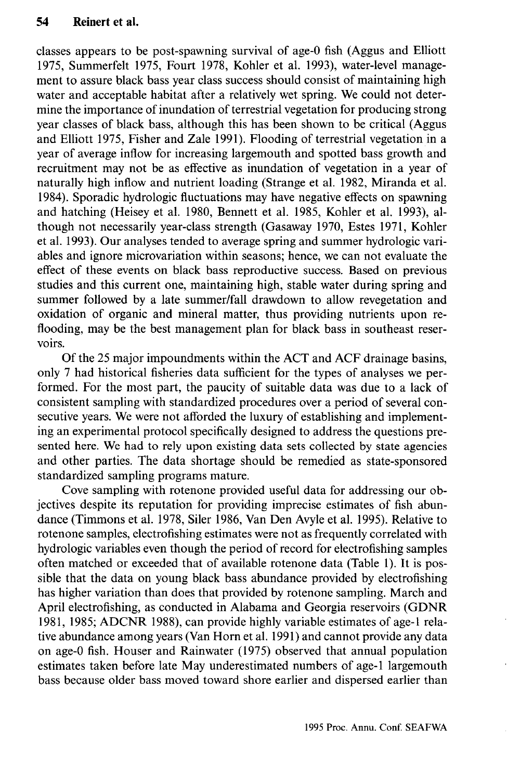classes appears to be post-spawning survival of age-0 fish (Aggus and Elliott 1975, Summerfelt 1975, Fourt 1978, Kohler et al. 1993), water-level management to assure black bass year class success should consist of maintaining high water and acceptable habitat after a relatively wet spring. We could not determine the importance of inundation of terrestrial vegetation for producing strong year classes of black bass, although this has been shown to be critical (Aggus and Elliott 1975, Fisher and Zale 1991). Flooding of terrestrial vegetation in a year of average inflow for increasing largemouth and spotted bass growth and recruitment may not be as effective as inundation of vegetation in a year of naturally high inflow and nutrient loading (Strange et al. 1982, Miranda et al. 1984). Sporadic hydrologic fluctuations may have negative effects on spawning and hatching (Heisey et al. 1980, Bennett et al. 1985, Kohler et al. 1993), although not necessarily year-class strength (Gasaway 1970, Estes 1971, Kohler et al. 1993). Our analyses tended to average spring and summer hydrologic variables and ignore microvariation within seasons; hence, we can not evaluate the effect of these events on black bass reproductive success. Based on previous studies and this current one, maintaining high, stable water during spring and summer followed by a late summer/fall drawdown to allow revegetation and oxidation of organic and mineral matter, thus providing nutrients upon reflooding, may be the best management plan for black bass in southeast reservoirs.

Of the 25 major impoundments within the ACT and ACF drainage basins, only 7 had historical fisheries data sufficient for the types of analyses we performed. For the most part, the paucity of suitable data was due to a lack of consistent sampling with standardized procedures over a period of several consecutive years. We were not afforded the luxury of establishing and implementing an experimental protocol specifically designed to address the questions presented here. We had to rely upon existing data sets collected by state agencies and other parties. The data shortage should be remedied as state-sponsored standardized sampling programs mature.

Cove sampling with rotenone provided useful data for addressing our objectives despite its reputation for providing imprecise estimates of fish abundance (Timmons et al. 1978, Siler 1986, Van Den Avyle et al. 1995). Relative to rotenone samples, electrofishing estimates were not as frequently correlated with hydrologic variables even though the period of record for electrofishing samples often matched or exceeded that of available rotenone data (Table 1). It is possible that the data on young black bass abundance provided by electrofishing has higher variation than does that provided by rotenone sampling. March and April electrofishing, as conducted in Alabama and Georgia reservoirs (GDNR 1981, 1985; ADCNR 1988), can provide highly variable estimates of age-1 relative abundance among years (Van Horn et al. 1991) and cannot provide any data on age-0 fish. Houser and Rainwater (1975) observed that annual population estimates taken before late May underestimated numbers of age-1 largemouth bass because older bass moved toward shore earlier and dispersed earlier than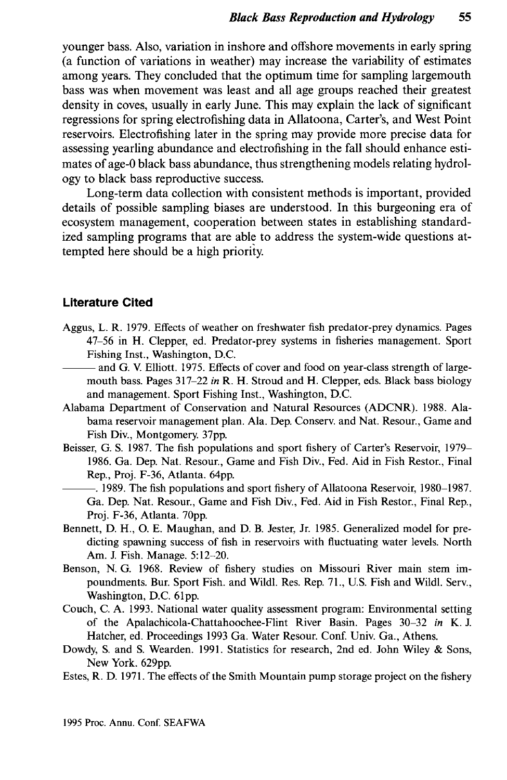younger bass. Also, variation in inshore and offshore movements in early spring (a function of variations in weather) may increase the variability of estimates among years. They concluded that the optimum time for sampling largemouth bass was when movement was least and all age groups reached their greatest density in coves, usually in early June. This may explain the lack of significant regressions for spring electrofishing data in Allatoona, Carter's, and West Point reservoirs. Electrofishing later in the spring may provide more precise data for assessing yearling abundance and electrofishing in the fall should enhance estimates of age-0 black bass abundance, thus strengthening models relating hydrology to black bass reproductive success.

Long-term data collection with consistent methods is important, provided details of possible sampling biases are understood. In this burgeoning era of ecosystem management, cooperation between states in establishing standardized sampling programs that are able to address the system-wide questions attempted here should be a high priority.

#### **Literature Cited**

- Aggus, L. R. 1979. Effects of weather on freshwater fish predator-prey dynamics. Pages 47-56 in H. Clepper, ed. Predator-prey systems in fisheries management. Sport Fishing Inst., Washington, D.C.
	- and G. V. Elliott. 1975. Effects of cover and food on year-class strength of largemouth bass. Pages 317-22 *in* R. H. Stroud and H. Clepper, eds. Black bass biology and management. Sport Fishing Inst., Washington, D.C.
- Alabama Department of Conservation and Natural Resources (ADCNR). 1988. Alabama reservoir management plan. Ala. Dep. Conserv. and Nat. Resour., Game and Fish Div., Montgomery. 37pp.
- Beisser, G. S. 1987. The fish populations and sport fishery of Carter's Reservoir, 1979— 1986. Ga. Dep. Nat. Resour., Game and Fish Div., Fed. Aid in Fish Restor., Final Rep., Proj. F-36, Atlanta. 64pp.
- . 1989. The fish populations and sport fishery of Allatoona Reservoir, 1980-1987. Ga. Dep. Nat. Resour., Game and Fish Div., Fed. Aid in Fish Restor., Final Rep., Proj. F-36, Atlanta. 70pp.
- Bennett, D. H., O. E. Maughan, and D. B. Jester, Jr. 1985. Generalized model for predicting spawning success of fish in reservoirs with fluctuating water levels. North Am. J. Fish. Manage. 5:12-20.
- Benson, N. G. 1968. Review of fishery studies on Missouri River main stem impoundments. Bur. Sport Fish, and Wildl. Res. Rep. 71., U.S. Fish and Wildl. Serv., Washington, D.C. 61pp.
- Couch, C. A. 1993. National water quality assessment program: Environmental setting of the Apalachicola-Chattahoochee-Flint River Basin. Pages 30-32 *in* K. J. Hatcher, ed. Proceedings 1993 Ga. Water Resour. Conf. Univ. Ga., Athens.
- Dowdy, S. and S. Wearden. 1991. Statistics for research, 2nd ed. John Wiley & Sons, New York. 629pp.
- Estes, R. D. 1971. The effects of the Smith Mountain pump storage project on the fishery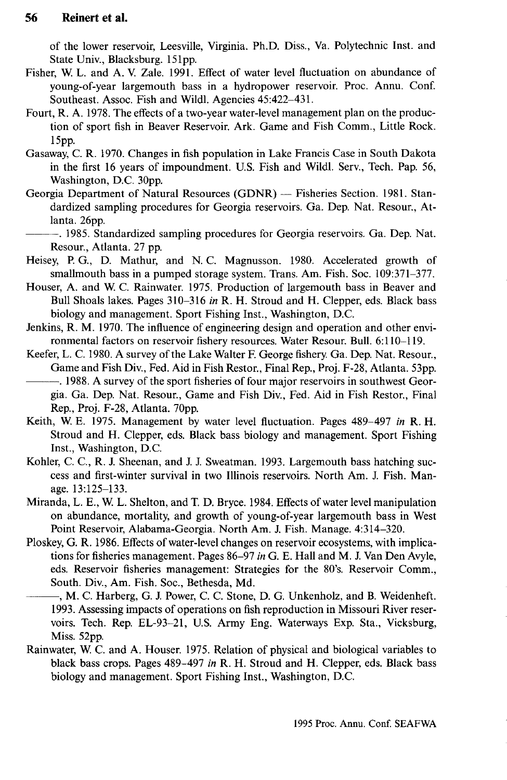of the lower reservoir, Leesville, Virginia. Ph.D. Diss., Va. Polytechnic Inst. and State Univ., Blacksburg. 151pp.

- Fisher, W. L. and A. V. Zale. 1991. Effect of water level fluctuation on abundance of young-of-year largemouth bass in a hydropower reservoir. Proc. Annu. Conf. Southeast. Assoc. Fish and Wildl. Agencies 45:422-431.
- Fourt, R. A. 1978. The effects of a two-year water-level management plan on the production of sport fish in Beaver Reservoir. Ark. Game and Fish Comm., Little Rock. 15pp.
- Gasaway, C. R. 1970. Changes in fish population in Lake Francis Case in South Dakota in the first 16 years of impoundment. U.S. Fish and Wildl. Serv., Tech. Pap. 56, Washington, D.C. 30pp.
- Georgia Department of Natural Resources (GDNR) Fisheries Section. 1981. Standardized sampling procedures for Georgia reservoirs. Ga. Dep. Nat. Resour., Atlanta. 26pp.
- . 1985. Standardized sampling procedures for Georgia reservoirs. Ga. Dep. Nat. Resour., Atlanta. 27 pp.
- Heisey, P. G., D. Mathur, and N. C. Magnusson. 1980. Accelerated growth of smallmouth bass in a pumped storage system. Trans. Am. Fish. Soc. 109:371-377.
- Houser, A. and W. C. Rainwater. 1975. Production of largemouth bass in Beaver and Bull Shoals lakes. Pages 310-316 *in* R. H. Stroud and H. Clepper, eds. Black bass biology and management. Sport Fishing Inst., Washington, D.C.
- Jenkins, R. M. 1970. The influence of engineering design and operation and other environmental factors on reservoir fishery resources. Water Resour. Bull. 6:110-119.
- Keefer, L. C. 1980. A survey of the Lake Walter F. George fishery. Ga. Dep. Nat. Resour., Game and Fish Div., Fed. Aid in Fish Restor., Final Rep., Proj. F-28, Atlanta. 53pp. . 1988. A survey of the sport fisheries of four major reservoirs in southwest Georgia. Ga. Dep. Nat. Resour., Game and Fish Div., Fed. Aid in Fish Restor., Final

Rep., Proj. F-28, Atlanta. 70pp.

- Keith, W. E. 1975. Management by water level fluctuation. Pages 489-497 *in* R. H. Stroud and H. Clepper, eds. Black bass biology and management. Sport Fishing Inst., Washington, D.C.
- Kohler, C. C., R. J. Sheenan, and J. J. Sweatman, 1993. Largemouth bass hatching success and first-winter survival in two Illinois reservoirs. North Am. J. Fish. Manage. 13:125-133.
- Miranda, L. E., W L. Shelton, and T. D. Bryce. 1984. Effects of water level manipulation on abundance, mortality, and growth of young-of-year largemouth bass in West Point Reservoir, Alabama-Georgia. North Am. J. Fish. Manage. 4:314-320.
- Ploskey, G. R. 1986. Effects of water-level changes on reservoir ecosystems, with implications for fisheries management. Pages 86-97 *in* G. E. Hall and M. J. Van Den Avyle, eds. Reservoir fisheries management: Strategies for the 80's. Reservoir Comm., South. Div., Am. Fish. Soc, Bethesda, Md.
- , M. C. Harberg, G. J. Power, C. C. Stone, D. G. Unkenholz, and B. Weidenheft. 1993. Assessing impacts of operations on fish reproduction in Missouri River reservoirs. Tech. Rep. EL-93-21, U.S. Army Eng. Waterways Exp. Sta., Vicksburg, Miss. 52pp.
- Rainwater, W. C. and A. Houser. 1975. Relation of physical and biological variables to black bass crops. Pages 489-497 *in* R. H. Stroud and H. Clepper, eds. Black bass biology and management. Sport Fishing Inst., Washington, D.C.